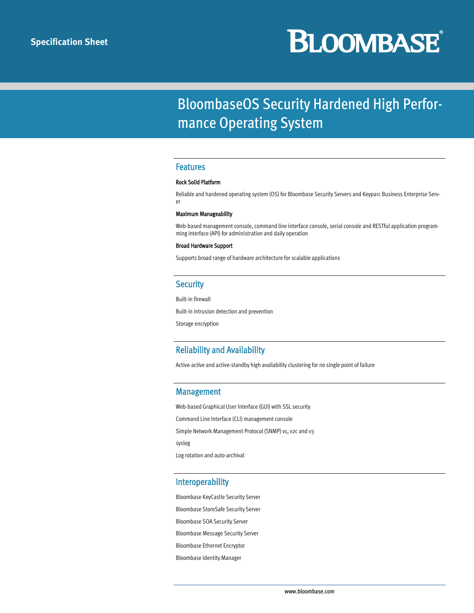# **BLOOMBASE**®

# BloombaseOS Security Hardened High Performance Operating System

#### Features

#### Rock Solid Platform

Reliable and hardened operating system (OS) for Bloombase Security Servers and Keyparc Business Enterprise Server

#### Maximum Manageability

Web-based management console, command line interface console, serial console and RESTful application programming interface (API) for administration and daily operation

#### Broad Hardware Support

Supports broad range of hardware architecture for scalable applications

#### **Security**

Built-in firewall

Built-in intrusion detection and prevention

Storage encryption

#### Reliability and Availability

Active-active and active-standby high availability clustering for no single point of failure

#### Management

Web-based Graphical User Interface (GUI) with SSL security Command Line Interface (CLI) management console Simple Network Management Protocol (SNMP) v1, v2c and v3 syslog Log rotation and auto-archival

#### Interoperability

Bloombase KeyCastle Security Server Bloombase StoreSafe Security Server Bloombase SOA Security Server Bloombase Message Security Server Bloombase Ethernet Encryptor Bloombase Identity Manager